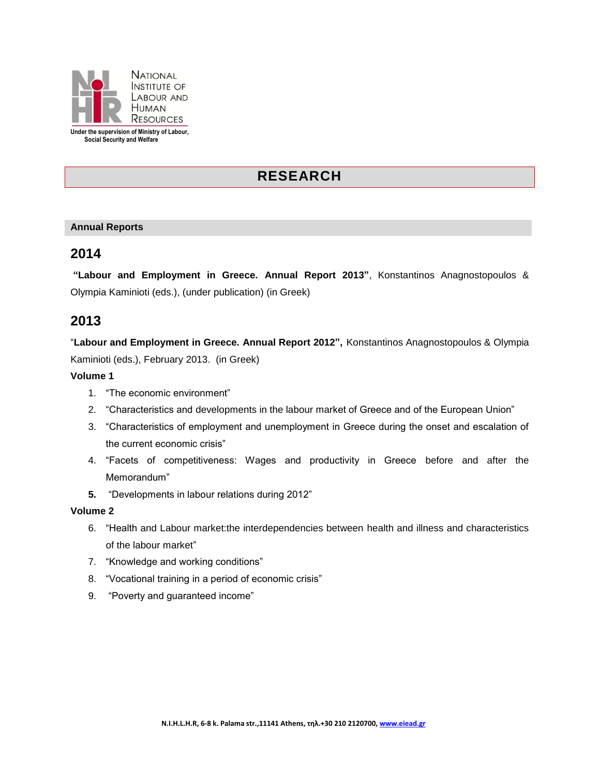

**Under the supervision of Ministry of Labour, Social Security and Welfare**

# **RESEARCH**

#### **Annual Reports**

## **2014**

**"Labour and Employment in Greece. Annual Report 2013"**, Konstantinos Anagnostopoulos & Olympia Kaminioti (eds.), (under publication) (in Greek)

## **2013**

"**Labour and Employment in Greece. Annual Report 2012",** Konstantinos Anagnostopoulos & Olympia Kaminioti (eds.), February 2013. (in Greek)

#### **Volume 1**

- 1. "The economic environment"
- 2. "Characteristics and developments in the labour market of Greece and of the European Union"
- 3. "Characteristics of employment and unemployment in Greece during the onset and escalation of the current economic crisis"
- 4. "Facets of competitiveness: Wages and productivity in Greece before and after the Memorandum"
- **5.** "Developments in labour relations during 2012"

#### **Volume 2**

- 6. "Health and Labour market:the interdependencies between health and illness and characteristics of the labour market"
- 7. "Knowledge and working conditions"
- 8. "Vocational training in a period of economic crisis"
- 9. "Poverty and guaranteed income"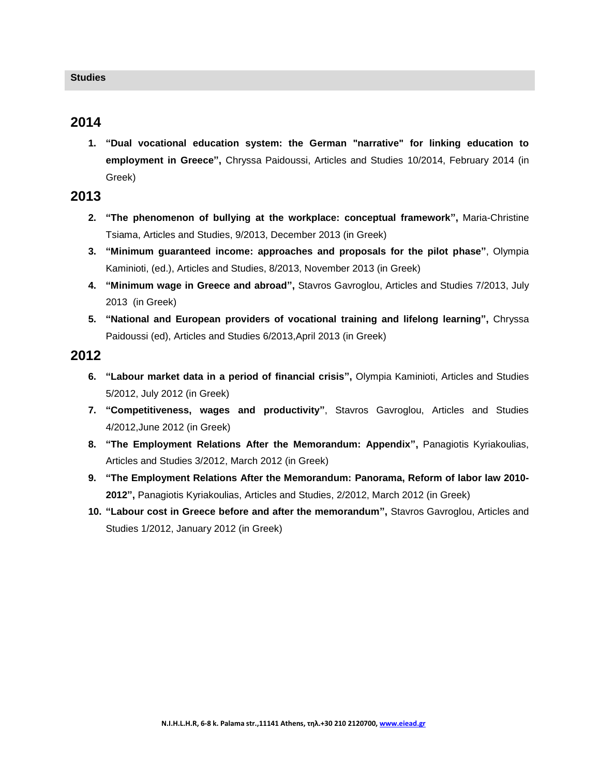### **2014**

**1. "Dual vocational education system: the German "narrative" for linking education to employment in Greece",** Chryssa Paidoussi, Articles and Studies 10/2014, February 2014 (in Greek)

## **2013**

- **2. "The phenomenon of bullying at the workplace: conceptual framework",** Maria-Christine Tsiama, Articles and Studies, 9/2013, December 2013 (in Greek)
- **3. "Minimum guaranteed income: approaches and proposals for the pilot phase"**, Olympia Kaminioti, (ed.), Articles and Studies, 8/2013, November 2013 (in Greek)
- **4. "Minimum wage in Greece and abroad",** Stavros Gavroglou, Articles and Studies 7/2013, July 2013 (in Greek)
- **5. "National and European providers of vocational training and lifelong learning",** Chryssa Paidoussi (ed), Articles and Studies 6/2013,April 2013 (in Greek)

## **2012**

- **6. "Labour market data in a period of financial crisis",** Olympia Kaminioti, Articles and Studies 5/2012, July 2012 (in Greek)
- **7. "Competitiveness, wages and productivity"**, Stavros Gavroglou, Articles and Studies 4/2012,June 2012 (in Greek)
- **8. "The Employment Relations After the Memorandum: Appendix",** Panagiotis Kyriakoulias, Articles and Studies 3/2012, March 2012 (in Greek)
- **9. "The Employment Relations After the Memorandum: Panorama, Reform of labor law 2010- 2012",** Panagiotis Kyriakoulias, Articles and Studies, 2/2012, March 2012 (in Greek)
- **10. "Labour cost in Greece before and after the memorandum",** Stavros Gavroglou, Articles and Studies 1/2012, January 2012 (in Greek)